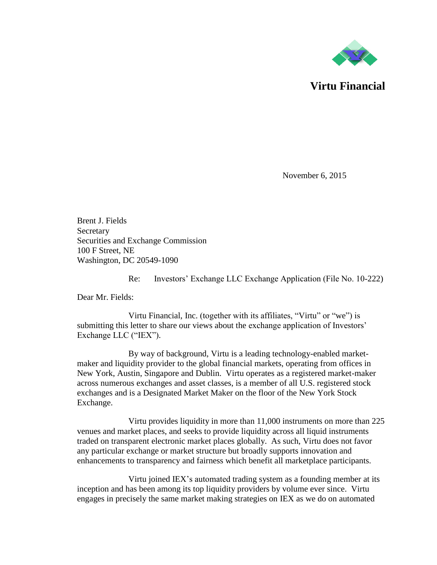

**Virtu Financial**

November 6, 2015

Brent J. Fields Secretary Securities and Exchange Commission 100 F Street, NE Washington, DC 20549-1090

Re: Investors' Exchange LLC Exchange Application (File No. 10-222)

Dear Mr. Fields:

Virtu Financial, Inc. (together with its affiliates, "Virtu" or "we") is submitting this letter to share our views about the exchange application of Investors' Exchange LLC ("IEX").

By way of background, Virtu is a leading technology-enabled marketmaker and liquidity provider to the global financial markets, operating from offices in New York, Austin, Singapore and Dublin. Virtu operates as a registered market-maker across numerous exchanges and asset classes, is a member of all U.S. registered stock exchanges and is a Designated Market Maker on the floor of the New York Stock Exchange.

Virtu provides liquidity in more than 11,000 instruments on more than 225 venues and market places, and seeks to provide liquidity across all liquid instruments traded on transparent electronic market places globally. As such, Virtu does not favor any particular exchange or market structure but broadly supports innovation and enhancements to transparency and fairness which benefit all marketplace participants.

Virtu joined IEX's automated trading system as a founding member at its inception and has been among its top liquidity providers by volume ever since. Virtu engages in precisely the same market making strategies on IEX as we do on automated